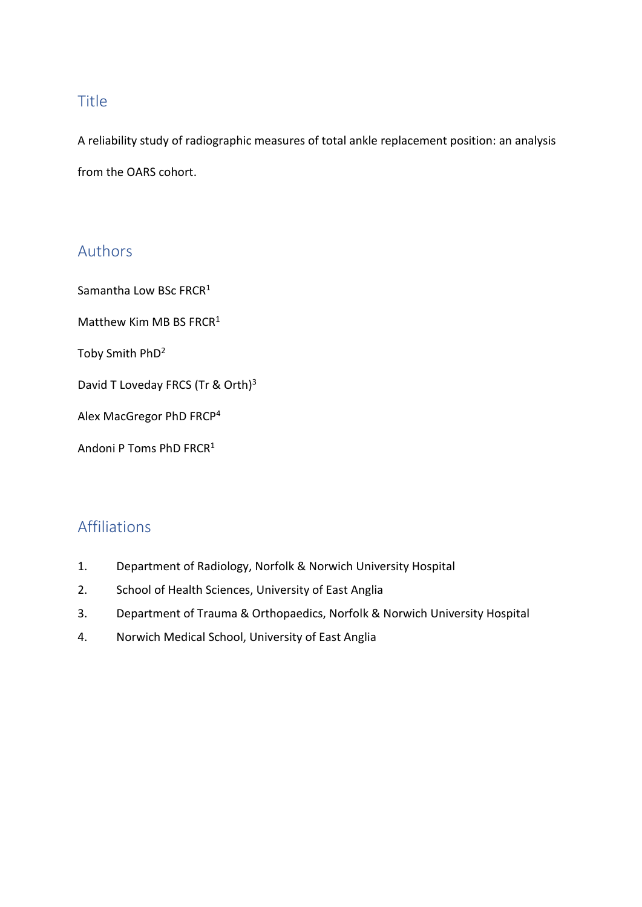# **Title**

A reliability study of radiographic measures of total ankle replacement position: an analysis from the OARS cohort.

# Authors

Samantha Low BSc FRCR<sup>1</sup> Matthew Kim MB BS FRCR<sup>1</sup>

Toby Smith PhD<sup>2</sup>

David T Loveday FRCS (Tr & Orth)<sup>3</sup>

Alex MacGregor PhD FRCP<sup>4</sup>

Andoni P Toms PhD FRCR<sup>1</sup>

# Affiliations

- 1. Department of Radiology, Norfolk & Norwich University Hospital
- 2. School of Health Sciences, University of East Anglia
- 3. Department of Trauma & Orthopaedics, Norfolk & Norwich University Hospital
- 4. Norwich Medical School, University of East Anglia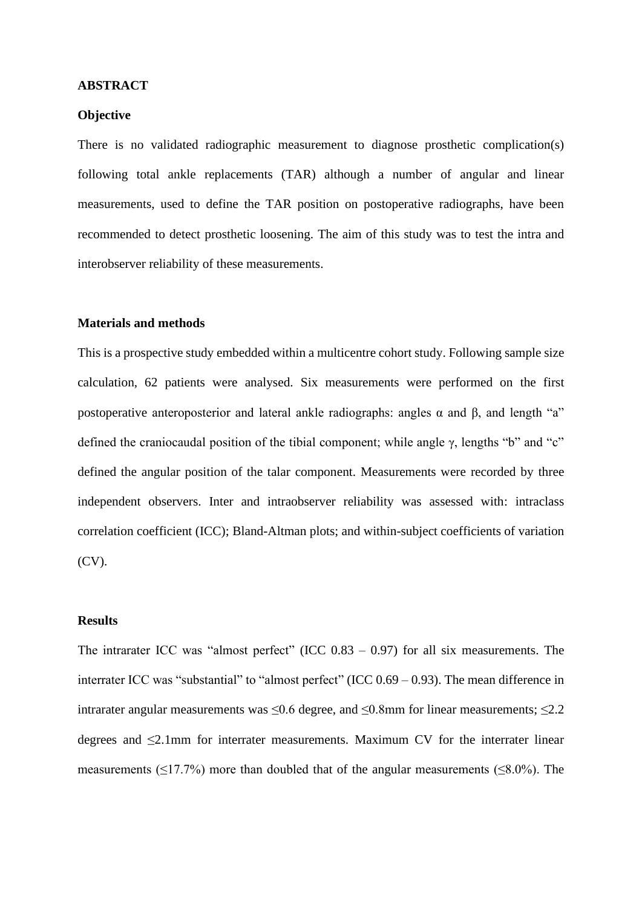## **ABSTRACT**

#### **Objective**

There is no validated radiographic measurement to diagnose prosthetic complication(s) following total ankle replacements (TAR) although a number of angular and linear measurements, used to define the TAR position on postoperative radiographs, have been recommended to detect prosthetic loosening. The aim of this study was to test the intra and interobserver reliability of these measurements.

## **Materials and methods**

This is a prospective study embedded within a multicentre cohort study. Following sample size calculation, 62 patients were analysed. Six measurements were performed on the first postoperative anteroposterior and lateral ankle radiographs: angles  $\alpha$  and  $\beta$ , and length "a" defined the craniocaudal position of the tibial component; while angle γ, lengths "b" and "c" defined the angular position of the talar component. Measurements were recorded by three independent observers. Inter and intraobserver reliability was assessed with: intraclass correlation coefficient (ICC); Bland-Altman plots; and within-subject coefficients of variation (CV).

## **Results**

The intrarater ICC was "almost perfect" (ICC  $0.83 - 0.97$ ) for all six measurements. The interrater ICC was "substantial" to "almost perfect" (ICC 0.69 – 0.93). The mean difference in intrarater angular measurements was  $\leq 0.6$  degree, and  $\leq 0.8$ mm for linear measurements;  $\leq 2.2$ degrees and ≤2.1mm for interrater measurements. Maximum CV for the interrater linear measurements ( $\leq$ 17.7%) more than doubled that of the angular measurements ( $\leq$ 8.0%). The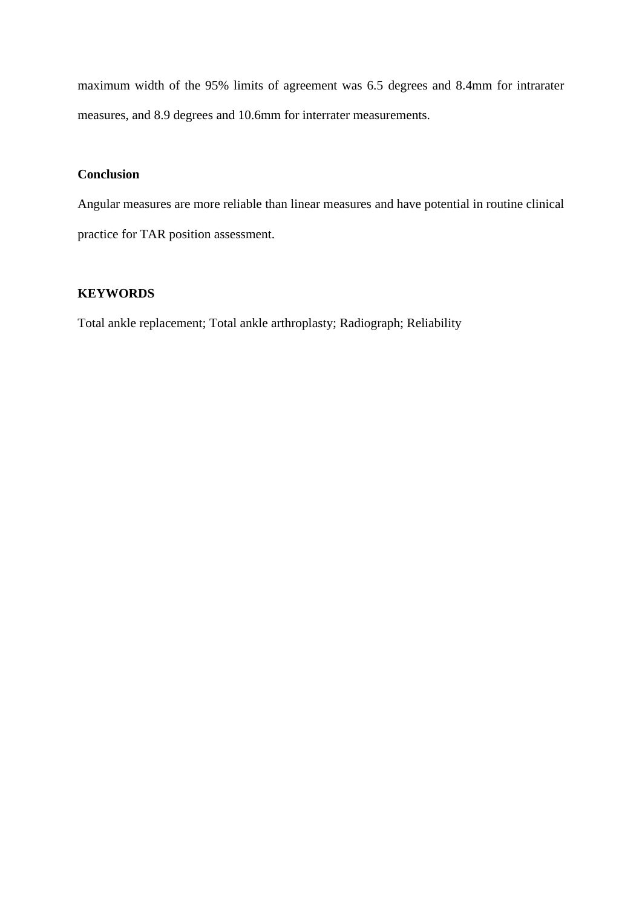maximum width of the 95% limits of agreement was 6.5 degrees and 8.4mm for intrarater measures, and 8.9 degrees and 10.6mm for interrater measurements.

# **Conclusion**

Angular measures are more reliable than linear measures and have potential in routine clinical practice for TAR position assessment.

# **KEYWORDS**

Total ankle replacement; Total ankle arthroplasty; Radiograph; Reliability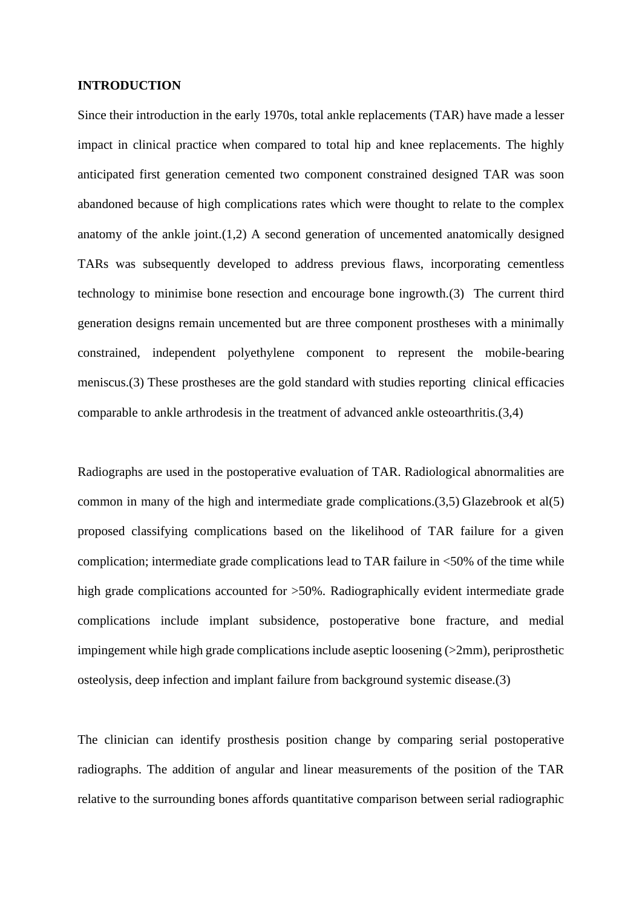#### **INTRODUCTION**

Since their introduction in the early 1970s, total ankle replacements (TAR) have made a lesser impact in clinical practice when compared to total hip and knee replacements. The highly anticipated first generation cemented two component constrained designed TAR was soon abandoned because of high complications rates which were thought to relate to the complex anatomy of the ankle joint.(1,2) A second generation of uncemented anatomically designed TARs was subsequently developed to address previous flaws, incorporating cementless technology to minimise bone resection and encourage bone ingrowth.(3) The current third generation designs remain uncemented but are three component prostheses with a minimally constrained, independent polyethylene component to represent the mobile-bearing meniscus.(3) These prostheses are the gold standard with studies reporting clinical efficacies comparable to ankle arthrodesis in the treatment of advanced ankle osteoarthritis.(3,4)

Radiographs are used in the postoperative evaluation of TAR. Radiological abnormalities are common in many of the high and intermediate grade complications.(3,5) Glazebrook et al(5) proposed classifying complications based on the likelihood of TAR failure for a given complication; intermediate grade complications lead to TAR failure in <50% of the time while high grade complications accounted for  $>50\%$ . Radiographically evident intermediate grade complications include implant subsidence, postoperative bone fracture, and medial impingement while high grade complications include aseptic loosening (>2mm), periprosthetic osteolysis, deep infection and implant failure from background systemic disease.(3)

The clinician can identify prosthesis position change by comparing serial postoperative radiographs. The addition of angular and linear measurements of the position of the TAR relative to the surrounding bones affords quantitative comparison between serial radiographic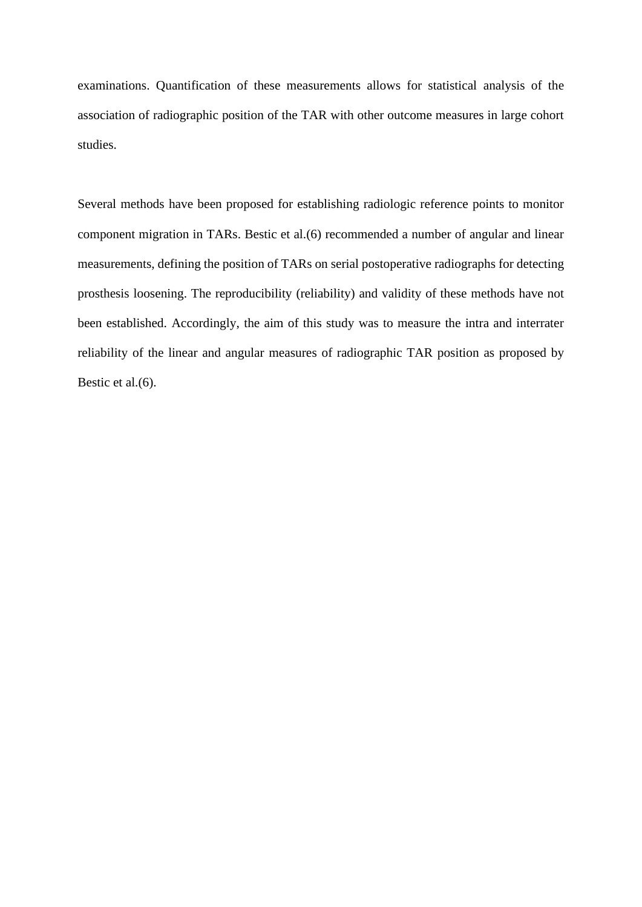examinations. Quantification of these measurements allows for statistical analysis of the association of radiographic position of the TAR with other outcome measures in large cohort studies.

Several methods have been proposed for establishing radiologic reference points to monitor component migration in TARs. Bestic et al.(6) recommended a number of angular and linear measurements, defining the position of TARs on serial postoperative radiographs for detecting prosthesis loosening. The reproducibility (reliability) and validity of these methods have not been established. Accordingly, the aim of this study was to measure the intra and interrater reliability of the linear and angular measures of radiographic TAR position as proposed by Bestic et al.(6).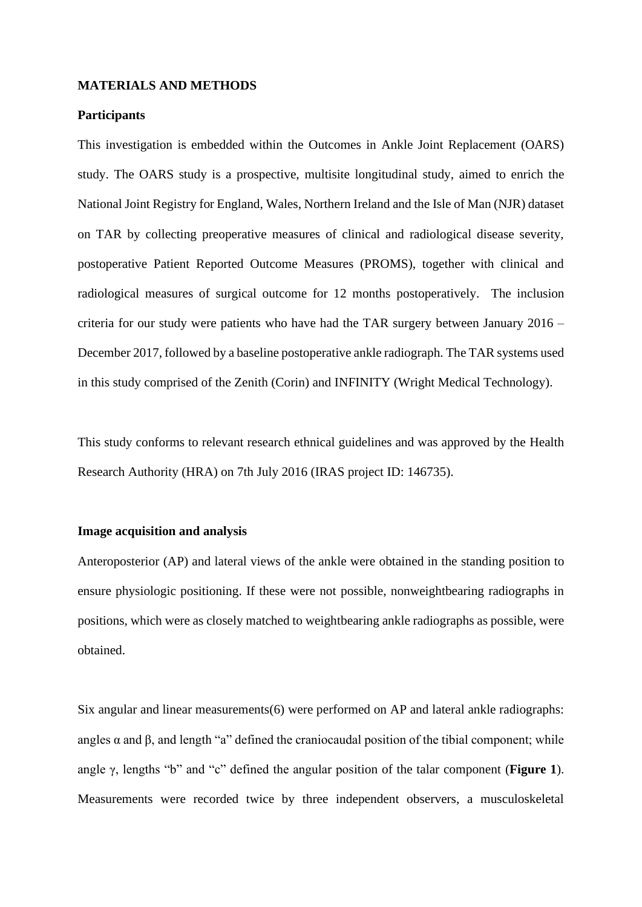#### **MATERIALS AND METHODS**

#### **Participants**

This investigation is embedded within the Outcomes in Ankle Joint Replacement (OARS) study. The OARS study is a prospective, multisite longitudinal study, aimed to enrich the National Joint Registry for England, Wales, Northern Ireland and the Isle of Man (NJR) dataset on TAR by collecting preoperative measures of clinical and radiological disease severity, postoperative Patient Reported Outcome Measures (PROMS), together with clinical and radiological measures of surgical outcome for 12 months postoperatively. The inclusion criteria for our study were patients who have had the TAR surgery between January 2016 – December 2017, followed by a baseline postoperative ankle radiograph. The TAR systems used in this study comprised of the Zenith (Corin) and INFINITY (Wright Medical Technology).

This study conforms to relevant research ethnical guidelines and was approved by the Health Research Authority (HRA) on 7th July 2016 (IRAS project ID: 146735).

#### **Image acquisition and analysis**

Anteroposterior (AP) and lateral views of the ankle were obtained in the standing position to ensure physiologic positioning. If these were not possible, nonweightbearing radiographs in positions, which were as closely matched to weightbearing ankle radiographs as possible, were obtained.

Six angular and linear measurements(6) were performed on AP and lateral ankle radiographs: angles  $\alpha$  and  $\beta$ , and length "a" defined the craniocaudal position of the tibial component; while angle γ, lengths "b" and "c" defined the angular position of the talar component (**Figure 1**). Measurements were recorded twice by three independent observers, a musculoskeletal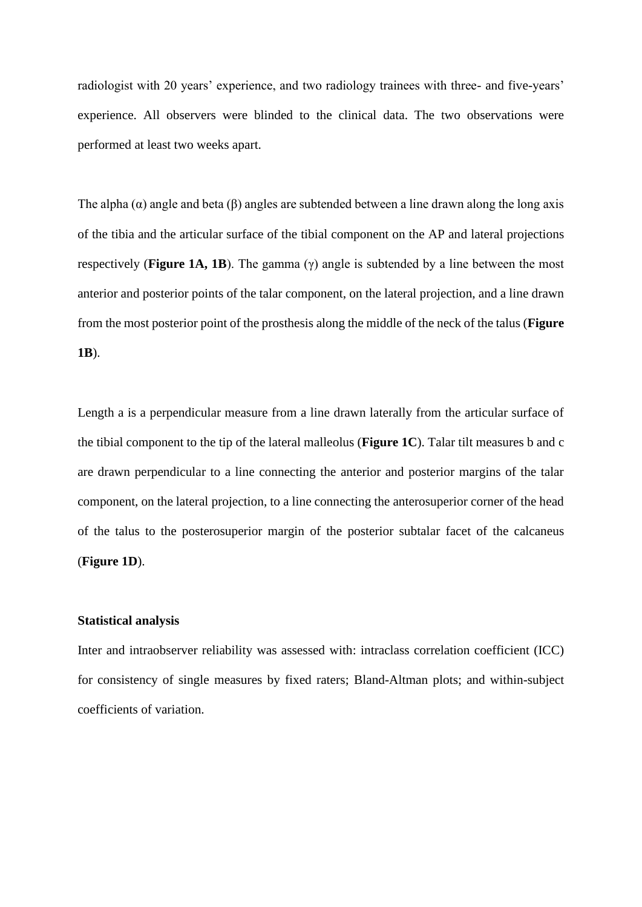radiologist with 20 years' experience, and two radiology trainees with three- and five-years' experience. All observers were blinded to the clinical data. The two observations were performed at least two weeks apart.

The alpha  $(\alpha)$  angle and beta  $(\beta)$  angles are subtended between a line drawn along the long axis of the tibia and the articular surface of the tibial component on the AP and lateral projections respectively (**Figure 1A, 1B**). The gamma (γ) angle is subtended by a line between the most anterior and posterior points of the talar component, on the lateral projection, and a line drawn from the most posterior point of the prosthesis along the middle of the neck of the talus (**Figure 1B**).

Length a is a perpendicular measure from a line drawn laterally from the articular surface of the tibial component to the tip of the lateral malleolus (**Figure 1C**). Talar tilt measures b and c are drawn perpendicular to a line connecting the anterior and posterior margins of the talar component, on the lateral projection, to a line connecting the anterosuperior corner of the head of the talus to the posterosuperior margin of the posterior subtalar facet of the calcaneus (**Figure 1D**).

#### **Statistical analysis**

Inter and intraobserver reliability was assessed with: intraclass correlation coefficient (ICC) for consistency of single measures by fixed raters; Bland-Altman plots; and within-subject coefficients of variation.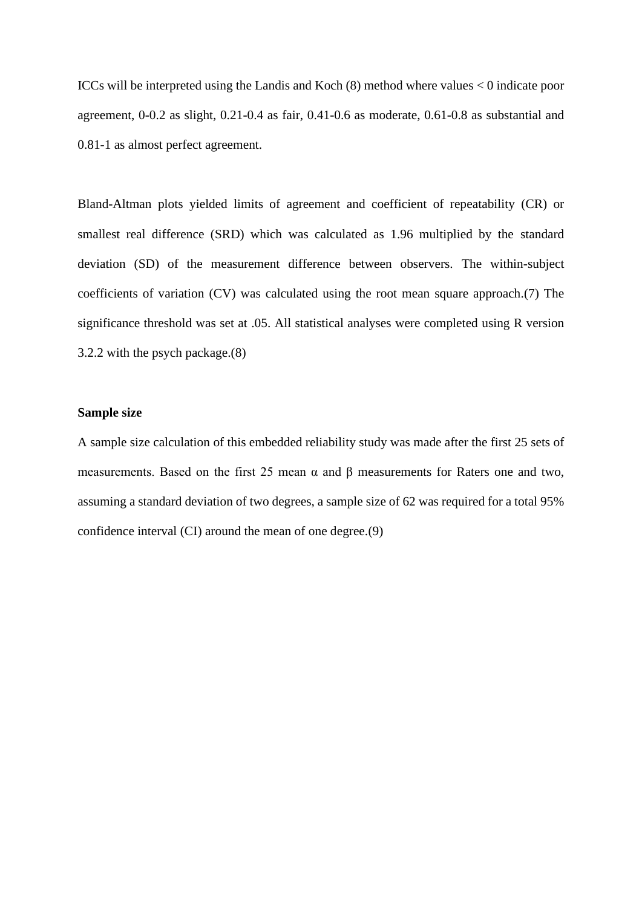ICCs will be interpreted using the Landis and Koch (8) method where values < 0 indicate poor agreement, 0-0.2 as slight, 0.21-0.4 as fair, 0.41-0.6 as moderate, 0.61-0.8 as substantial and 0.81-1 as almost perfect agreement.

Bland-Altman plots yielded limits of agreement and coefficient of repeatability (CR) or smallest real difference (SRD) which was calculated as 1.96 multiplied by the standard deviation (SD) of the measurement difference between observers. The within-subject coefficients of variation (CV) was calculated using the root mean square approach.(7) The significance threshold was set at .05. All statistical analyses were completed using R version 3.2.2 with the psych package.(8)

#### **Sample size**

A sample size calculation of this embedded reliability study was made after the first 25 sets of measurements. Based on the first 25 mean  $\alpha$  and  $\beta$  measurements for Raters one and two, assuming a standard deviation of two degrees, a sample size of 62 was required for a total 95% confidence interval (CI) around the mean of one degree.(9)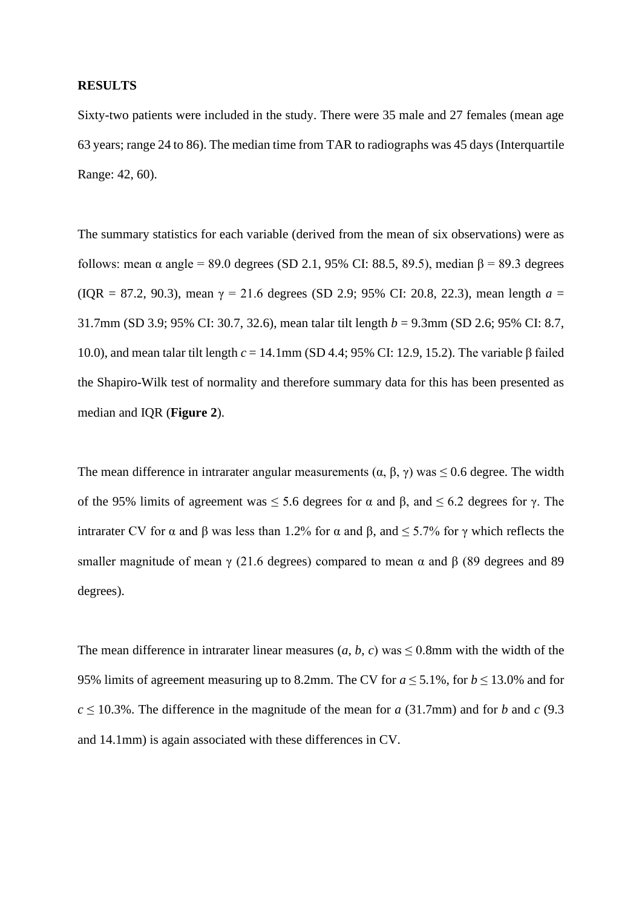#### **RESULTS**

Sixty-two patients were included in the study. There were 35 male and 27 females (mean age 63 years; range 24 to 86). The median time from TAR to radiographs was 45 days (Interquartile Range: 42, 60).

The summary statistics for each variable (derived from the mean of six observations) were as follows: mean  $\alpha$  angle = 89.0 degrees (SD 2.1, 95% CI: 88.5, 89.5), median  $\beta$  = 89.3 degrees (IQR = 87.2, 90.3), mean  $\gamma$  = 21.6 degrees (SD 2.9; 95% CI: 20.8, 22.3), mean length  $a =$ 31.7mm (SD 3.9; 95% CI: 30.7, 32.6), mean talar tilt length *b* = 9.3mm (SD 2.6; 95% CI: 8.7, 10.0), and mean talar tilt length *c* = 14.1mm (SD 4.4; 95% CI: 12.9, 15.2). The variable β failed the Shapiro-Wilk test of normality and therefore summary data for this has been presented as median and IQR (**Figure 2**).

The mean difference in intrarater angular measurements  $(\alpha, \beta, \gamma)$  was  $\leq 0.6$  degree. The width of the 95% limits of agreement was  $\leq$  5.6 degrees for α and β, and  $\leq$  6.2 degrees for γ. The intrarater CV for α and β was less than 1.2% for α and β, and  $\leq$  5.7% for γ which reflects the smaller magnitude of mean  $\gamma$  (21.6 degrees) compared to mean  $\alpha$  and  $\beta$  (89 degrees and 89 degrees).

The mean difference in intrarater linear measures (*a*, *b*, *c*) was  $\leq$  0.8mm with the width of the 95% limits of agreement measuring up to 8.2mm. The CV for *a* ≤ 5.1%, for *b* ≤ 13.0% and for  $c \le 10.3\%$ . The difference in the magnitude of the mean for *a* (31.7mm) and for *b* and *c* (9.3) and 14.1mm) is again associated with these differences in CV.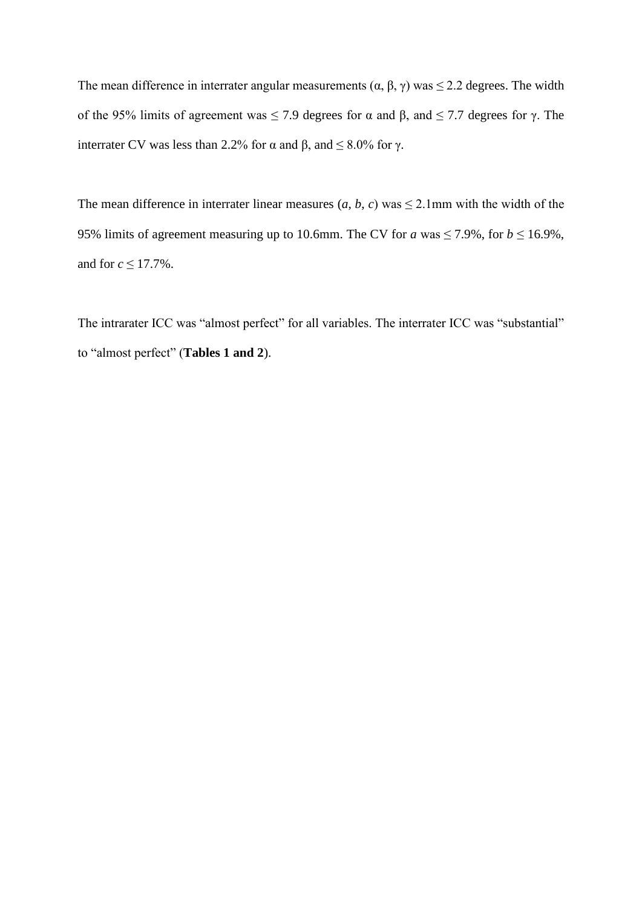The mean difference in interrater angular measurements  $(\alpha, \beta, \gamma)$  was  $\leq 2.2$  degrees. The width of the 95% limits of agreement was ≤ 7.9 degrees for α and β, and ≤ 7.7 degrees for γ. The interrater CV was less than 2.2% for α and β, and  $\leq$  8.0% for γ.

The mean difference in interrater linear measures  $(a, b, c)$  was  $\leq$  2.1mm with the width of the 95% limits of agreement measuring up to 10.6mm. The CV for *a* was  $\leq$  7.9%, for *b*  $\leq$  16.9%, and for  $c \leq 17.7\%$ .

The intrarater ICC was "almost perfect" for all variables. The interrater ICC was "substantial" to "almost perfect" (**Tables 1 and 2**).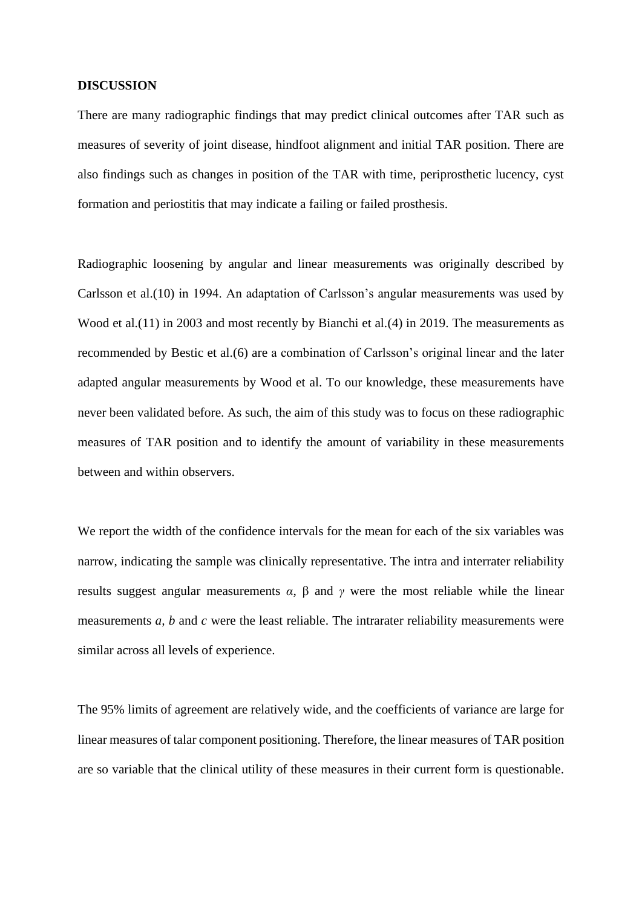#### **DISCUSSION**

There are many radiographic findings that may predict clinical outcomes after TAR such as measures of severity of joint disease, hindfoot alignment and initial TAR position. There are also findings such as changes in position of the TAR with time, periprosthetic lucency, cyst formation and periostitis that may indicate a failing or failed prosthesis.

Radiographic loosening by angular and linear measurements was originally described by Carlsson et al.(10) in 1994. An adaptation of Carlsson's angular measurements was used by Wood et al.(11) in 2003 and most recently by Bianchi et al.(4) in 2019. The measurements as recommended by Bestic et al.(6) are a combination of Carlsson's original linear and the later adapted angular measurements by Wood et al. To our knowledge, these measurements have never been validated before. As such, the aim of this study was to focus on these radiographic measures of TAR position and to identify the amount of variability in these measurements between and within observers.

We report the width of the confidence intervals for the mean for each of the six variables was narrow, indicating the sample was clinically representative. The intra and interrater reliability results suggest angular measurements *α*, β and *γ* were the most reliable while the linear measurements *a, b* and *c* were the least reliable. The intrarater reliability measurements were similar across all levels of experience.

The 95% limits of agreement are relatively wide, and the coefficients of variance are large for linear measures of talar component positioning. Therefore, the linear measures of TAR position are so variable that the clinical utility of these measures in their current form is questionable.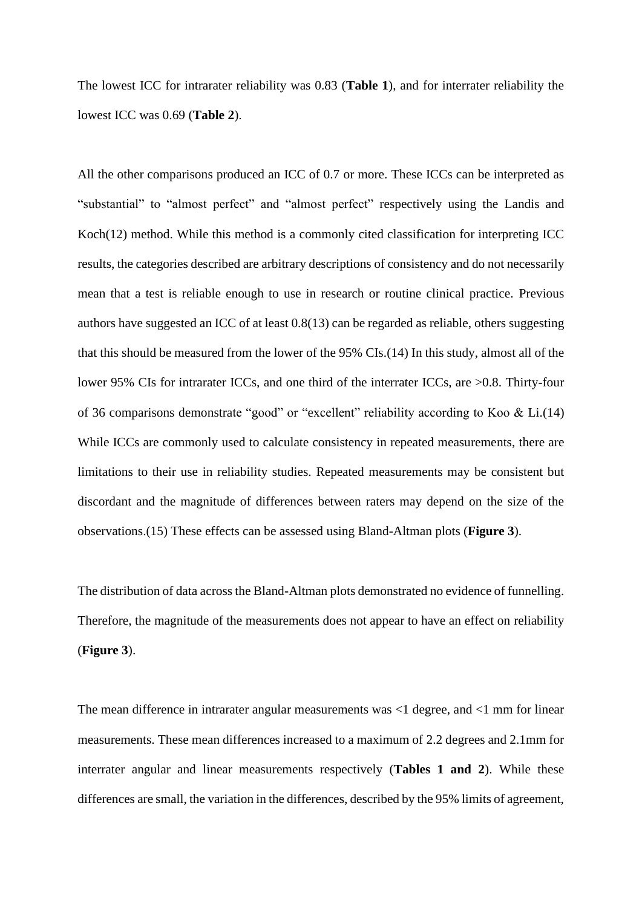The lowest ICC for intrarater reliability was 0.83 (**Table 1**), and for interrater reliability the lowest ICC was 0.69 (**Table 2**).

All the other comparisons produced an ICC of 0.7 or more. These ICCs can be interpreted as "substantial" to "almost perfect" and "almost perfect" respectively using the Landis and Koch(12) method. While this method is a commonly cited classification for interpreting ICC results, the categories described are arbitrary descriptions of consistency and do not necessarily mean that a test is reliable enough to use in research or routine clinical practice. Previous authors have suggested an ICC of at least 0.8(13) can be regarded as reliable, others suggesting that this should be measured from the lower of the 95% CIs.(14) In this study, almost all of the lower 95% CIs for intrarater ICCs, and one third of the interrater ICCs, are >0.8. Thirty-four of 36 comparisons demonstrate "good" or "excellent" reliability according to Koo & Li.(14) While ICCs are commonly used to calculate consistency in repeated measurements, there are limitations to their use in reliability studies. Repeated measurements may be consistent but discordant and the magnitude of differences between raters may depend on the size of the observations.(15) These effects can be assessed using Bland-Altman plots (**Figure 3**).

The distribution of data across the Bland-Altman plots demonstrated no evidence of funnelling. Therefore, the magnitude of the measurements does not appear to have an effect on reliability (**Figure 3**).

The mean difference in intrarater angular measurements was <1 degree, and <1 mm for linear measurements. These mean differences increased to a maximum of 2.2 degrees and 2.1mm for interrater angular and linear measurements respectively (**Tables 1 and 2**). While these differences are small, the variation in the differences, described by the 95% limits of agreement,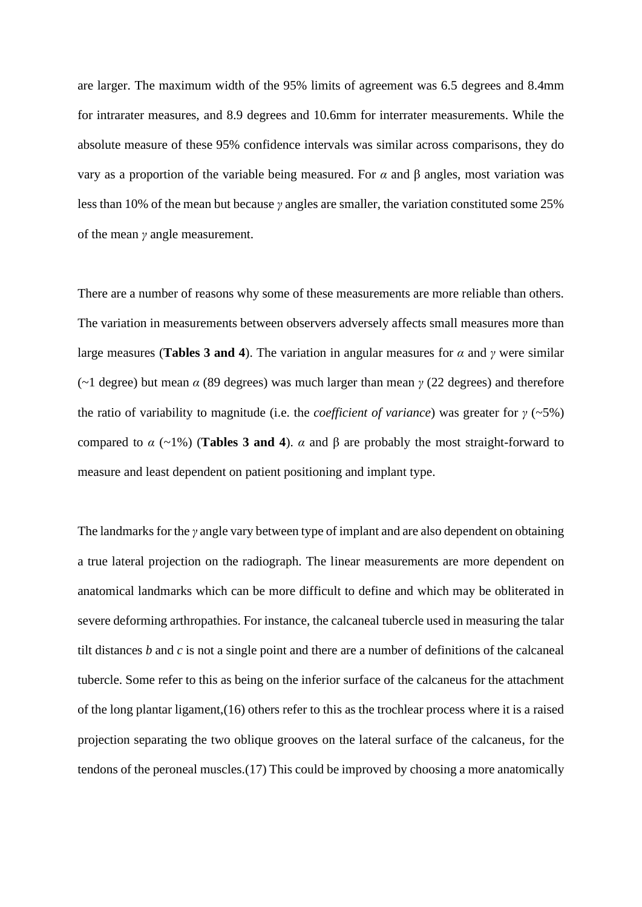are larger. The maximum width of the 95% limits of agreement was 6.5 degrees and 8.4mm for intrarater measures, and 8.9 degrees and 10.6mm for interrater measurements. While the absolute measure of these 95% confidence intervals was similar across comparisons, they do vary as a proportion of the variable being measured. For *α* and β angles, most variation was less than 10% of the mean but because *γ* angles are smaller, the variation constituted some 25% of the mean *γ* angle measurement.

There are a number of reasons why some of these measurements are more reliable than others. The variation in measurements between observers adversely affects small measures more than large measures (**Tables 3 and 4**). The variation in angular measures for  $\alpha$  and  $\gamma$  were similar (~1 degree) but mean *α* (89 degrees) was much larger than mean *γ* (22 degrees) and therefore the ratio of variability to magnitude (i.e. the *coefficient of variance*) was greater for *γ* (~5%) compared to  $\alpha$  (~1%) (**Tables 3 and 4**).  $\alpha$  and  $\beta$  are probably the most straight-forward to measure and least dependent on patient positioning and implant type.

The landmarks for the *γ* angle vary between type of implant and are also dependent on obtaining a true lateral projection on the radiograph. The linear measurements are more dependent on anatomical landmarks which can be more difficult to define and which may be obliterated in severe deforming arthropathies. For instance, the calcaneal tubercle used in measuring the talar tilt distances *b* and *c* is not a single point and there are a number of definitions of the calcaneal tubercle. Some refer to this as being on the inferior surface of the calcaneus for the attachment of the long plantar ligament,(16) others refer to this as the trochlear process where it is a raised projection separating the two oblique grooves on the lateral surface of the calcaneus, for the tendons of the peroneal muscles.(17) This could be improved by choosing a more anatomically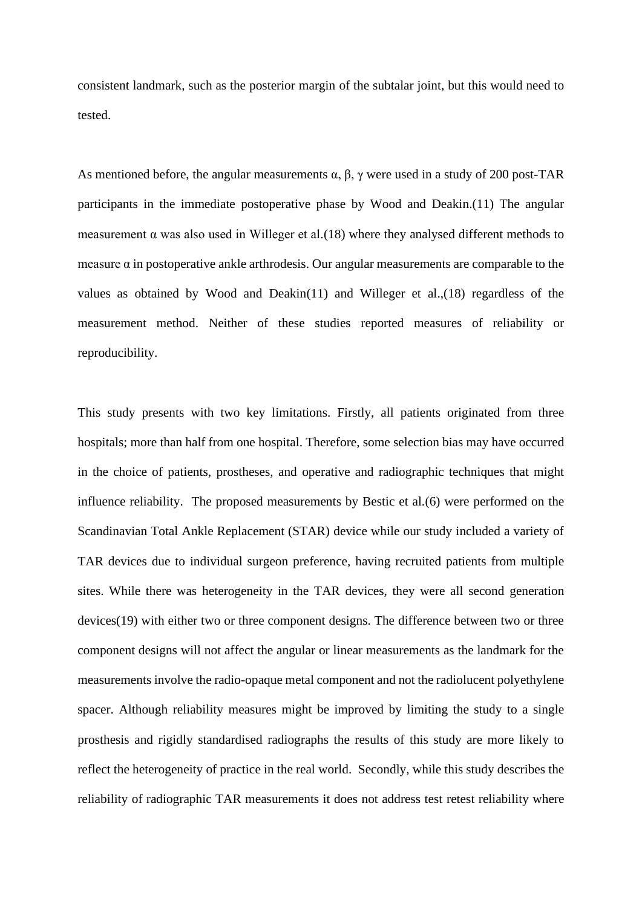consistent landmark, such as the posterior margin of the subtalar joint, but this would need to tested.

As mentioned before, the angular measurements  $\alpha$ ,  $\beta$ ,  $\gamma$  were used in a study of 200 post-TAR participants in the immediate postoperative phase by Wood and Deakin.(11) The angular measurement  $\alpha$  was also used in Willeger et al.(18) where they analysed different methods to measure  $\alpha$  in postoperative ankle arthrodesis. Our angular measurements are comparable to the values as obtained by Wood and Deakin(11) and Willeger et al.,(18) regardless of the measurement method. Neither of these studies reported measures of reliability or reproducibility.

This study presents with two key limitations. Firstly, all patients originated from three hospitals; more than half from one hospital. Therefore, some selection bias may have occurred in the choice of patients, prostheses, and operative and radiographic techniques that might influence reliability. The proposed measurements by Bestic et al.(6) were performed on the Scandinavian Total Ankle Replacement (STAR) device while our study included a variety of TAR devices due to individual surgeon preference, having recruited patients from multiple sites. While there was heterogeneity in the TAR devices, they were all second generation devices(19) with either two or three component designs. The difference between two or three component designs will not affect the angular or linear measurements as the landmark for the measurements involve the radio-opaque metal component and not the radiolucent polyethylene spacer. Although reliability measures might be improved by limiting the study to a single prosthesis and rigidly standardised radiographs the results of this study are more likely to reflect the heterogeneity of practice in the real world. Secondly, while this study describes the reliability of radiographic TAR measurements it does not address test retest reliability where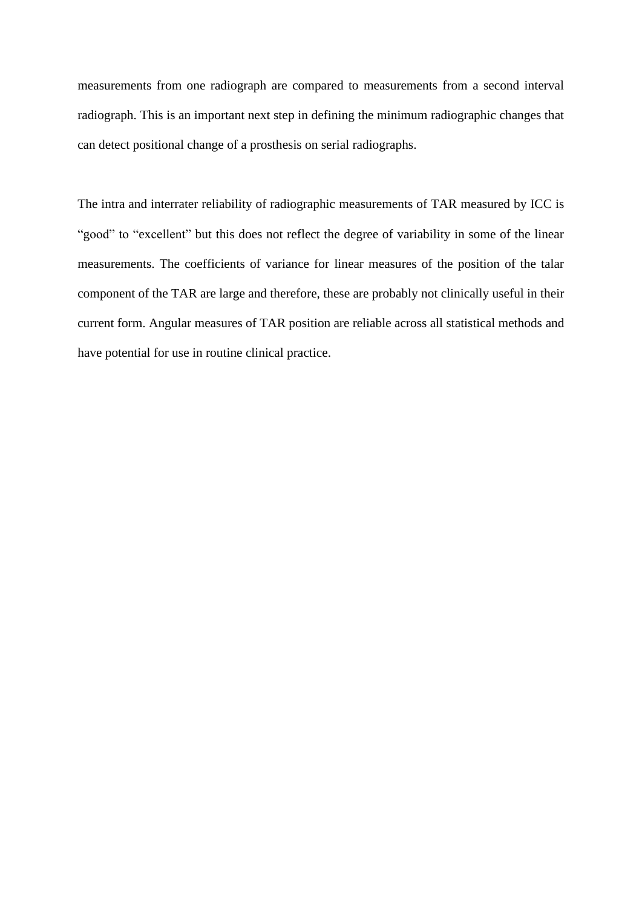measurements from one radiograph are compared to measurements from a second interval radiograph. This is an important next step in defining the minimum radiographic changes that can detect positional change of a prosthesis on serial radiographs.

The intra and interrater reliability of radiographic measurements of TAR measured by ICC is "good" to "excellent" but this does not reflect the degree of variability in some of the linear measurements. The coefficients of variance for linear measures of the position of the talar component of the TAR are large and therefore, these are probably not clinically useful in their current form. Angular measures of TAR position are reliable across all statistical methods and have potential for use in routine clinical practice.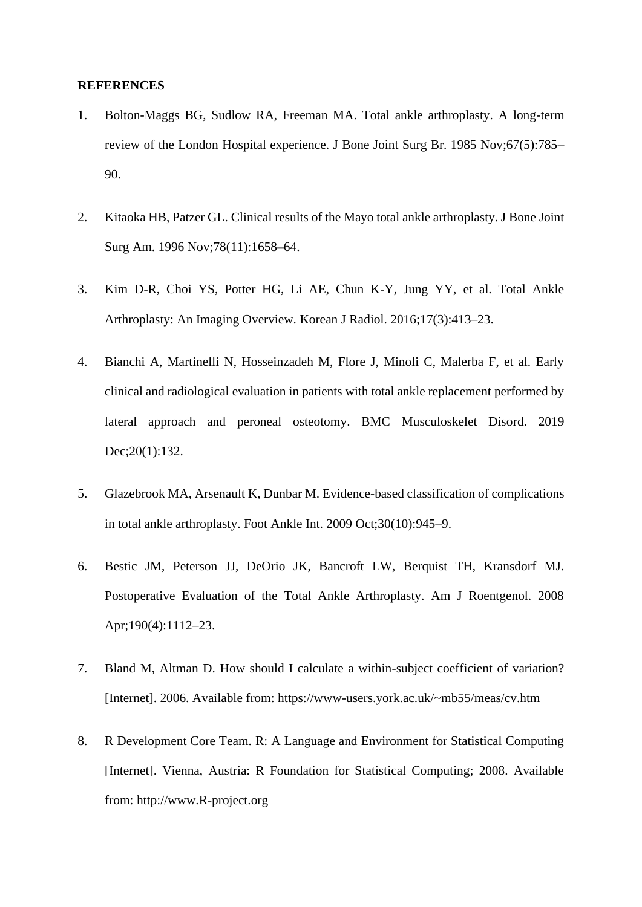#### **REFERENCES**

- 1. Bolton-Maggs BG, Sudlow RA, Freeman MA. Total ankle arthroplasty. A long-term review of the London Hospital experience. J Bone Joint Surg Br. 1985 Nov;67(5):785– 90.
- 2. Kitaoka HB, Patzer GL. Clinical results of the Mayo total ankle arthroplasty. J Bone Joint Surg Am. 1996 Nov;78(11):1658–64.
- 3. Kim D-R, Choi YS, Potter HG, Li AE, Chun K-Y, Jung YY, et al. Total Ankle Arthroplasty: An Imaging Overview. Korean J Radiol. 2016;17(3):413–23.
- 4. Bianchi A, Martinelli N, Hosseinzadeh M, Flore J, Minoli C, Malerba F, et al. Early clinical and radiological evaluation in patients with total ankle replacement performed by lateral approach and peroneal osteotomy. BMC Musculoskelet Disord. 2019 Dec;20(1):132.
- 5. Glazebrook MA, Arsenault K, Dunbar M. Evidence-based classification of complications in total ankle arthroplasty. Foot Ankle Int. 2009 Oct;30(10):945–9.
- 6. Bestic JM, Peterson JJ, DeOrio JK, Bancroft LW, Berquist TH, Kransdorf MJ. Postoperative Evaluation of the Total Ankle Arthroplasty. Am J Roentgenol. 2008 Apr;190(4):1112–23.
- 7. Bland M, Altman D. How should I calculate a within-subject coefficient of variation? [Internet]. 2006. Available from: https://www-users.york.ac.uk/~mb55/meas/cv.htm
- 8. R Development Core Team. R: A Language and Environment for Statistical Computing [Internet]. Vienna, Austria: R Foundation for Statistical Computing; 2008. Available from: http://www.R-project.org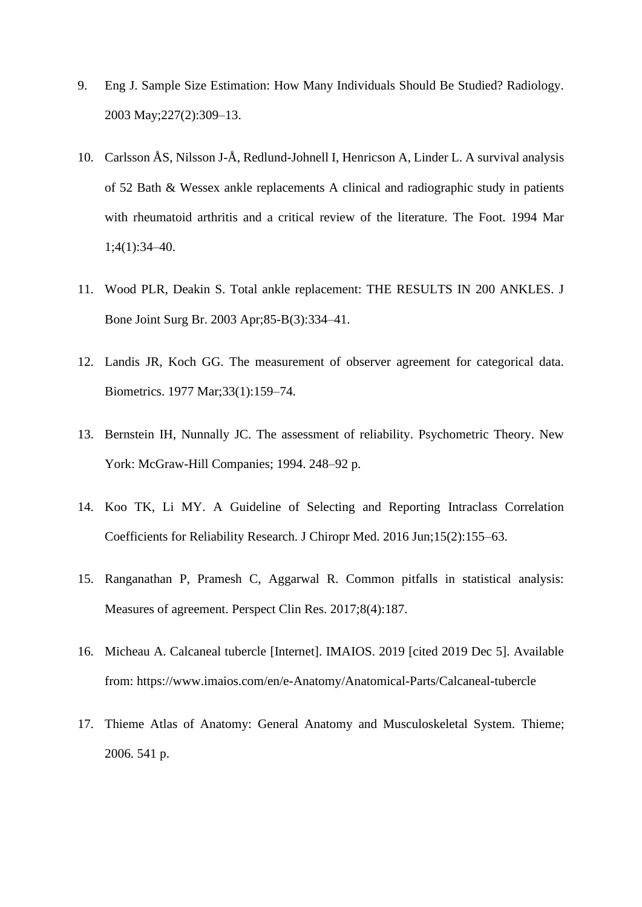- 9. Eng J. Sample Size Estimation: How Many Individuals Should Be Studied? Radiology. 2003 May;227(2):309–13.
- 10. Carlsson ÅS, Nilsson J-Å, Redlund-Johnell I, Henricson A, Linder L. A survival analysis of 52 Bath & Wessex ankle replacements A clinical and radiographic study in patients with rheumatoid arthritis and a critical review of the literature. The Foot. 1994 Mar 1;4(1):34–40.
- 11. Wood PLR, Deakin S. Total ankle replacement: THE RESULTS IN 200 ANKLES. J Bone Joint Surg Br. 2003 Apr;85-B(3):334–41.
- 12. Landis JR, Koch GG. The measurement of observer agreement for categorical data. Biometrics. 1977 Mar;33(1):159–74.
- 13. Bernstein IH, Nunnally JC. The assessment of reliability. Psychometric Theory. New York: McGraw-Hill Companies; 1994. 248–92 p.
- 14. Koo TK, Li MY. A Guideline of Selecting and Reporting Intraclass Correlation Coefficients for Reliability Research. J Chiropr Med. 2016 Jun;15(2):155–63.
- 15. Ranganathan P, Pramesh C, Aggarwal R. Common pitfalls in statistical analysis: Measures of agreement. Perspect Clin Res. 2017;8(4):187.
- 16. Micheau A. Calcaneal tubercle [Internet]. IMAIOS. 2019 [cited 2019 Dec 5]. Available from: https://www.imaios.com/en/e-Anatomy/Anatomical-Parts/Calcaneal-tubercle
- 17. Thieme Atlas of Anatomy: General Anatomy and Musculoskeletal System. Thieme; 2006. 541 p.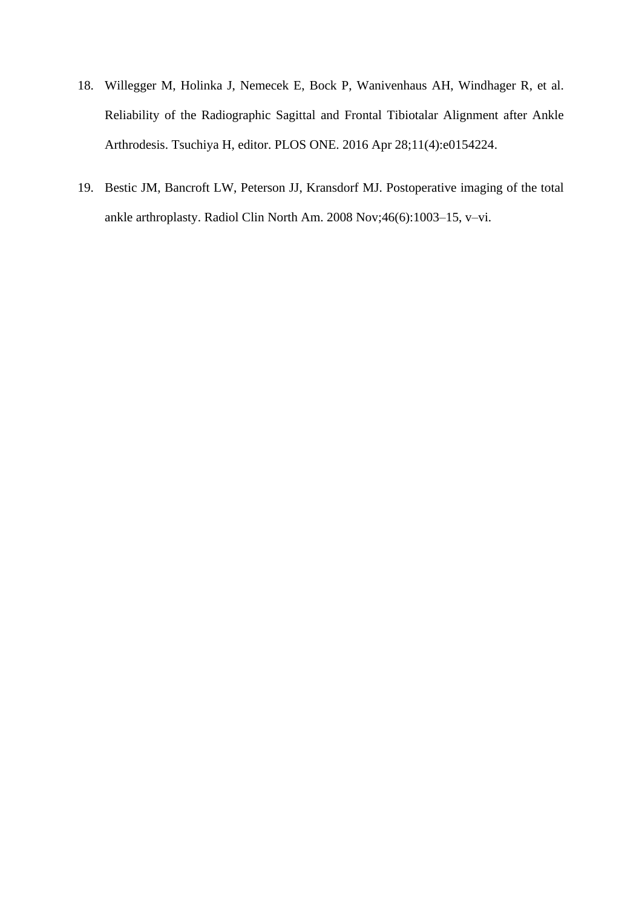- 18. Willegger M, Holinka J, Nemecek E, Bock P, Wanivenhaus AH, Windhager R, et al. Reliability of the Radiographic Sagittal and Frontal Tibiotalar Alignment after Ankle Arthrodesis. Tsuchiya H, editor. PLOS ONE. 2016 Apr 28;11(4):e0154224.
- 19. Bestic JM, Bancroft LW, Peterson JJ, Kransdorf MJ. Postoperative imaging of the total ankle arthroplasty. Radiol Clin North Am. 2008 Nov;46(6):1003–15, v–vi.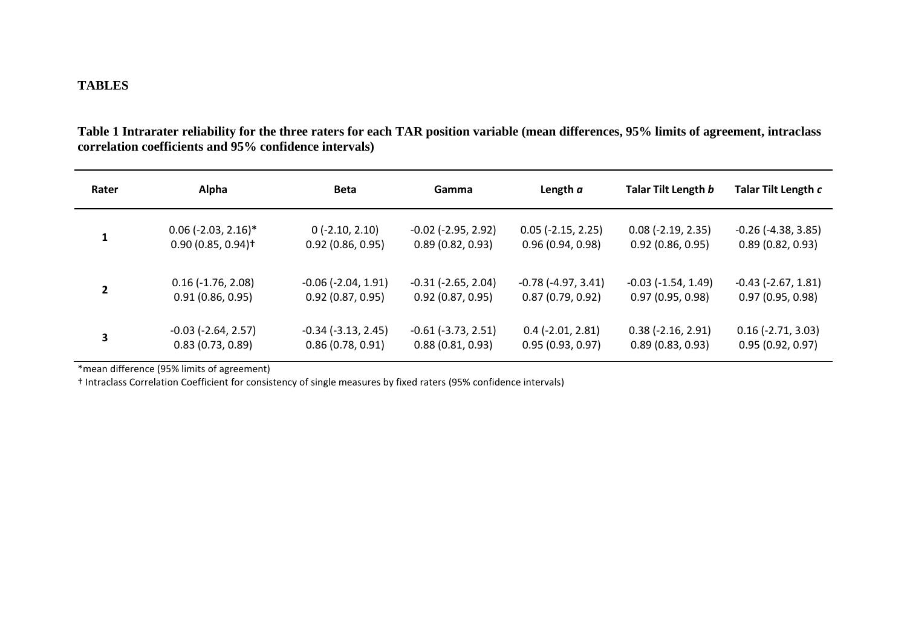# **TABLES**

**Table 1 Intrarater reliability for the three raters for each TAR position variable (mean differences, 95% limits of agreement, intraclass correlation coefficients and 95% confidence intervals)**

| Rater          | Alpha                           | <b>Beta</b>             | Gamma                        | Length a                     | Talar Tilt Length b          | Talar Tilt Length c          |
|----------------|---------------------------------|-------------------------|------------------------------|------------------------------|------------------------------|------------------------------|
| 1              | $0.06$ (-2.03, 2.16)*           | $0$ (-2.10, 2.10)       | $-0.02$ ( $-2.95$ , $2.92$ ) | $0.05$ (-2.15, 2.25)         | $0.08$ (-2.19, 2.35)         | $-0.26$ ( $-4.38$ , $3.85$ ) |
|                | $0.90(0.85, 0.94)$ <sup>+</sup> | 0.92(0.86, 0.95)        | 0.89(0.82, 0.93)             | 0.96(0.94, 0.98)             | 0.92(0.86, 0.95)             | 0.89(0.82, 0.93)             |
| $\overline{2}$ | $0.16$ (-1.76, 2.08)            | $-0.06$ $(-2.04, 1.91)$ | $-0.31$ ( $-2.65$ , $2.04$ ) | $-0.78$ ( $-4.97$ , $3.41$ ) | $-0.03$ ( $-1.54$ , $1.49$ ) | $-0.43$ $(-2.67, 1.81)$      |
|                | 0.91(0.86, 0.95)                | 0.92(0.87, 0.95)        | 0.92(0.87, 0.95)             | 0.87(0.79, 0.92)             | 0.97(0.95, 0.98)             | 0.97(0.95, 0.98)             |
| 3              | $-0.03$ ( $-2.64$ , $2.57$ )    | $-0.34$ $(-3.13, 2.45)$ | $-0.61$ ( $-3.73$ , 2.51)    | $0.4$ (-2.01, 2.81)          | $0.38$ (-2.16, 2.91)         | $0.16$ (-2.71, 3.03)         |
|                | 0.83(0.73, 0.89)                | 0.86(0.78, 0.91)        | 0.88(0.81, 0.93)             | 0.95(0.93, 0.97)             | 0.89(0.83, 0.93)             | 0.95(0.92, 0.97)             |

\*mean difference (95% limits of agreement)

† Intraclass Correlation Coefficient for consistency of single measures by fixed raters (95% confidence intervals)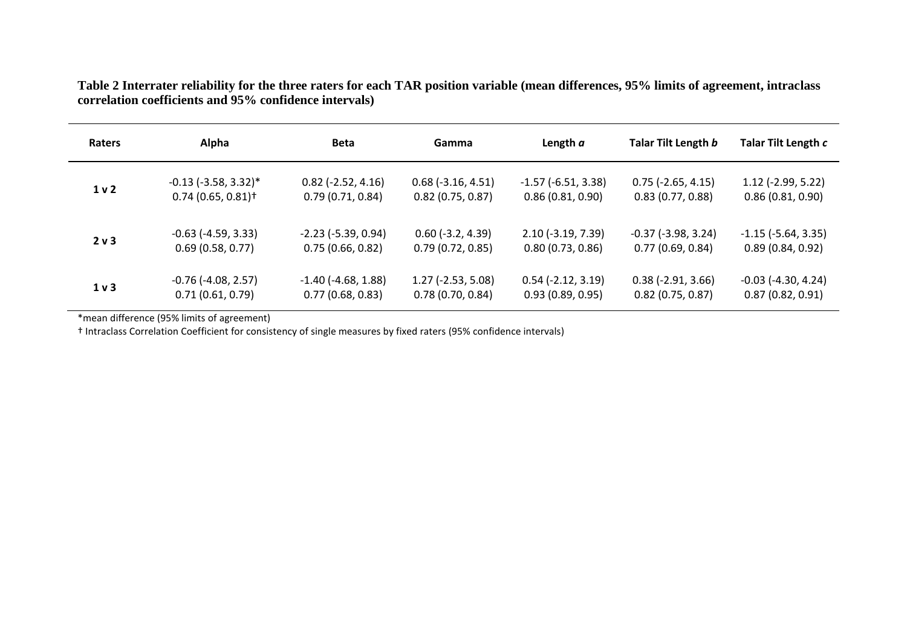**Table 2 Interrater reliability for the three raters for each TAR position variable (mean differences, 95% limits of agreement, intraclass correlation coefficients and 95% confidence intervals)**

| <b>Raters</b>  | Alpha                           | <b>Beta</b>                  | Gamma                | Length a                  | Talar Tilt Length b          | Talar Tilt Length c          |
|----------------|---------------------------------|------------------------------|----------------------|---------------------------|------------------------------|------------------------------|
| 1 <sub>v</sub> | $-0.13$ ( $-3.58$ , $3.32$ )*   | $0.82$ (-2.52, 4.16)         | $0.68$ (-3.16, 4.51) | $-1.57$ ( $-6.51$ , 3.38) | $0.75$ (-2.65, 4.15)         | $1.12$ (-2.99, 5.22)         |
|                | $0.74(0.65, 0.81)$ <sup>+</sup> | 0.79(0.71, 0.84)             | 0.82(0.75, 0.87)     | 0.86(0.81, 0.90)          | 0.83(0.77, 0.88)             | 0.86(0.81, 0.90)             |
| 2 v 3          | $-0.63$ ( $-4.59$ , $3.33$ )    | $-2.23$ ( $-5.39$ , 0.94)    | $0.60$ (-3.2, 4.39)  | $2.10(-3.19, 7.39)$       | $-0.37$ ( $-3.98$ , $3.24$ ) | $-1.15$ ( $-5.64$ , $3.35$ ) |
|                | 0.69(0.58, 0.77)                | 0.75(0.66, 0.82)             | 0.79(0.72, 0.85)     | 0.80(0.73, 0.86)          | 0.77(0.69, 0.84)             | 0.89(0.84, 0.92)             |
| 1 <sub>v</sub> | $-0.76$ ( $-4.08$ , 2.57)       | $-1.40$ ( $-4.68$ , $1.88$ ) | $1.27$ (-2.53, 5.08) | $0.54$ (-2.12, 3.19)      | $0.38$ (-2.91, 3.66)         | $-0.03$ ( $-4.30$ , $4.24$ ) |
|                | 0.71(0.61, 0.79)                | 0.77(0.68, 0.83)             | 0.78(0.70, 0.84)     | 0.93(0.89, 0.95)          | $0.82$ (0.75, 0.87)          | 0.87(0.82, 0.91)             |

\*mean difference (95% limits of agreement)

† Intraclass Correlation Coefficient for consistency of single measures by fixed raters (95% confidence intervals)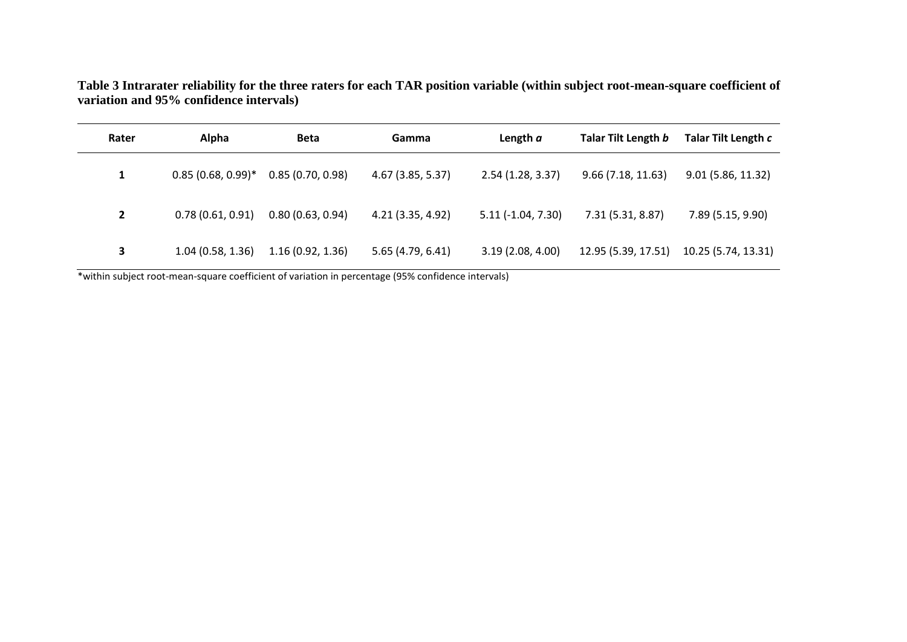**Table 3 Intrarater reliability for the three raters for each TAR position variable (within subject root-mean-square coefficient of variation and 95% confidence intervals)**

| Rater          | Alpha                | <b>Beta</b>      | Gamma             | Length a             | Talar Tilt Length b | Talar Tilt Length c |
|----------------|----------------------|------------------|-------------------|----------------------|---------------------|---------------------|
| 1              | $0.85(0.68, 0.99)$ * | 0.85(0.70, 0.98) | 4.67 (3.85, 5.37) | 2.54 (1.28, 3.37)    | 9.66(7.18, 11.63)   | 9.01 (5.86, 11.32)  |
| $\overline{2}$ | 0.78(0.61, 0.91)     | 0.80(0.63, 0.94) | 4.21 (3.35, 4.92) | $5.11 (-1.04, 7.30)$ | 7.31 (5.31, 8.87)   | 7.89 (5.15, 9.90)   |
| 3              | 1.04(0.58, 1.36)     | 1.16(0.92, 1.36) | 5.65 (4.79, 6.41) | 3.19(2.08, 4.00)     | 12.95 (5.39, 17.51) | 10.25 (5.74, 13.31) |

\*within subject root-mean-square coefficient of variation in percentage (95% confidence intervals)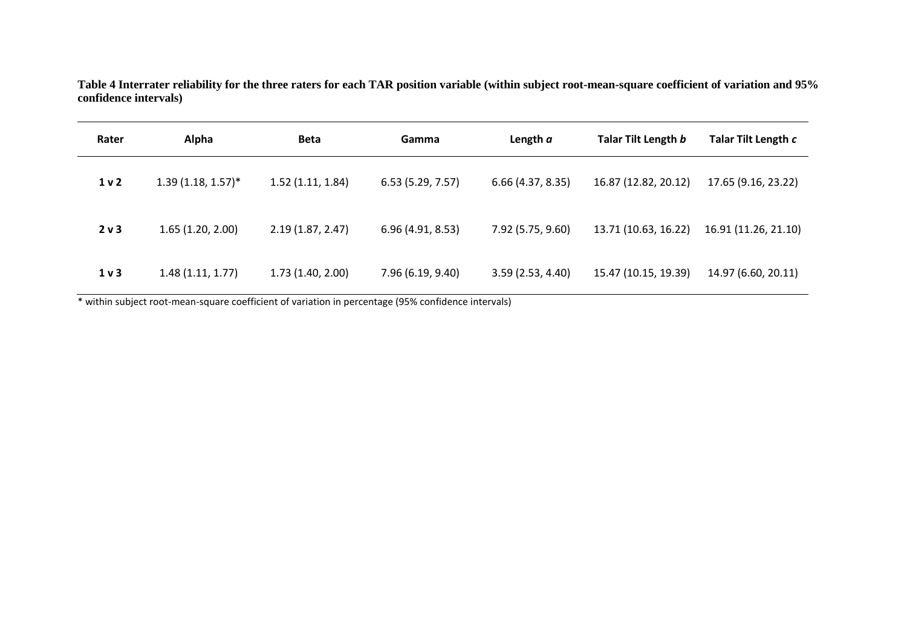**Table 4 Interrater reliability for the three raters for each TAR position variable (within subject root-mean-square coefficient of variation and 95% confidence intervals)**

| Rater          | Alpha                | <b>Beta</b>      | Gamma             | Length a            | Talar Tilt Length b  | Talar Tilt Length c  |
|----------------|----------------------|------------------|-------------------|---------------------|----------------------|----------------------|
| 1 <sub>v</sub> | $1.39(1.18, 1.57)^*$ | 1.52(1.11, 1.84) | 6.53(5.29, 7.57)  | $6.66$ (4.37, 8.35) | 16.87 (12.82, 20.12) | 17.65 (9.16, 23.22)  |
| 2 v 3          | 1.65(1.20, 2.00)     | 2.19(1.87, 2.47) | 6.96 (4.91, 8.53) | 7.92 (5.75, 9.60)   | 13.71 (10.63, 16.22) | 16.91 (11.26, 21.10) |
| 1 <sub>v</sub> | 1.48(1.11, 1.77)     | 1.73(1.40, 2.00) | 7.96 (6.19, 9.40) | 3.59(2.53, 4.40)    | 15.47 (10.15, 19.39) | 14.97 (6.60, 20.11)  |

\* within subject root-mean-square coefficient of variation in percentage (95% confidence intervals)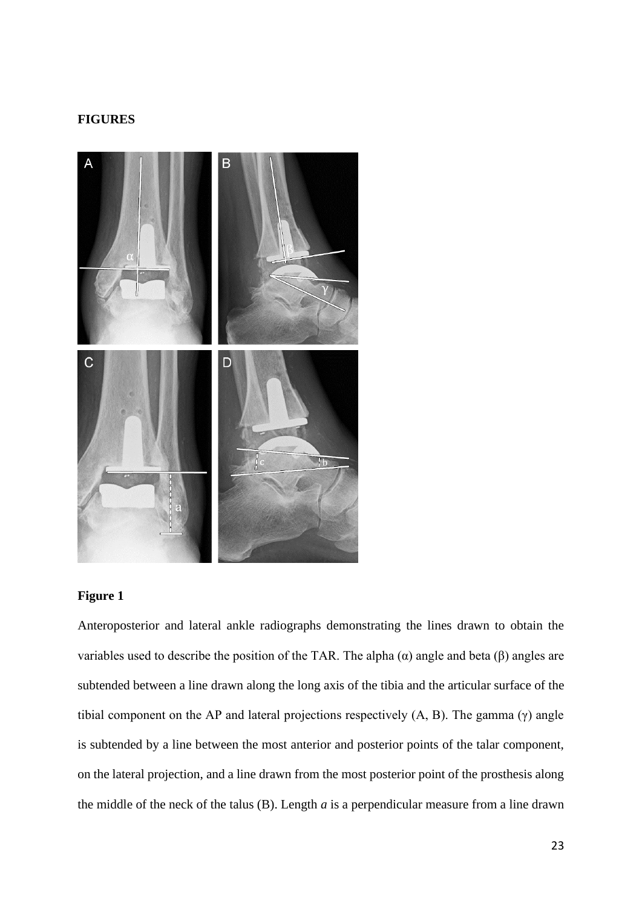## **FIGURES**



## **Figure 1**

Anteroposterior and lateral ankle radiographs demonstrating the lines drawn to obtain the variables used to describe the position of the TAR. The alpha  $(\alpha)$  angle and beta  $(\beta)$  angles are subtended between a line drawn along the long axis of the tibia and the articular surface of the tibial component on the AP and lateral projections respectively  $(A, B)$ . The gamma  $(\gamma)$  angle is subtended by a line between the most anterior and posterior points of the talar component, on the lateral projection, and a line drawn from the most posterior point of the prosthesis along the middle of the neck of the talus (B). Length *a* is a perpendicular measure from a line drawn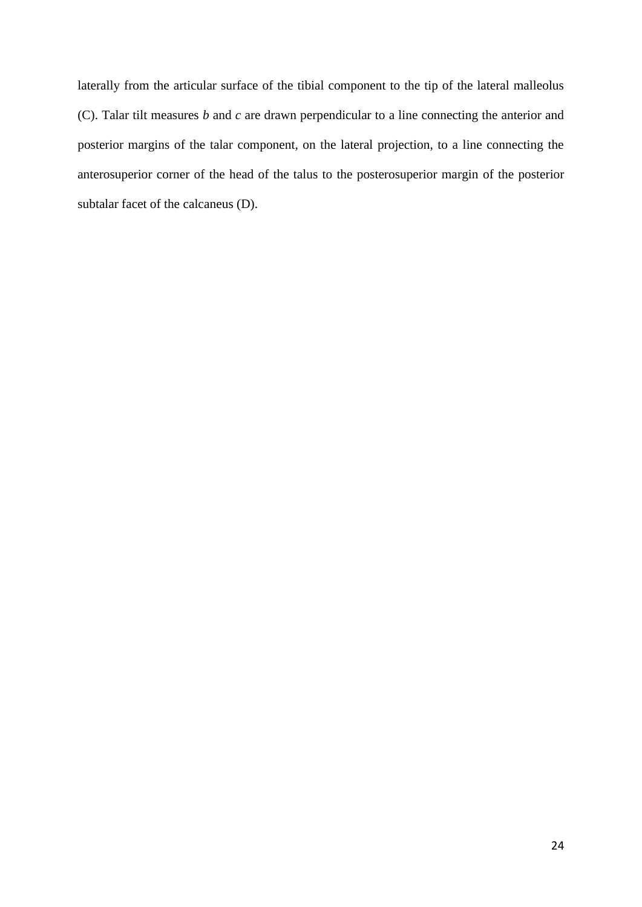laterally from the articular surface of the tibial component to the tip of the lateral malleolus (C). Talar tilt measures *b* and *c* are drawn perpendicular to a line connecting the anterior and posterior margins of the talar component, on the lateral projection, to a line connecting the anterosuperior corner of the head of the talus to the posterosuperior margin of the posterior subtalar facet of the calcaneus (D).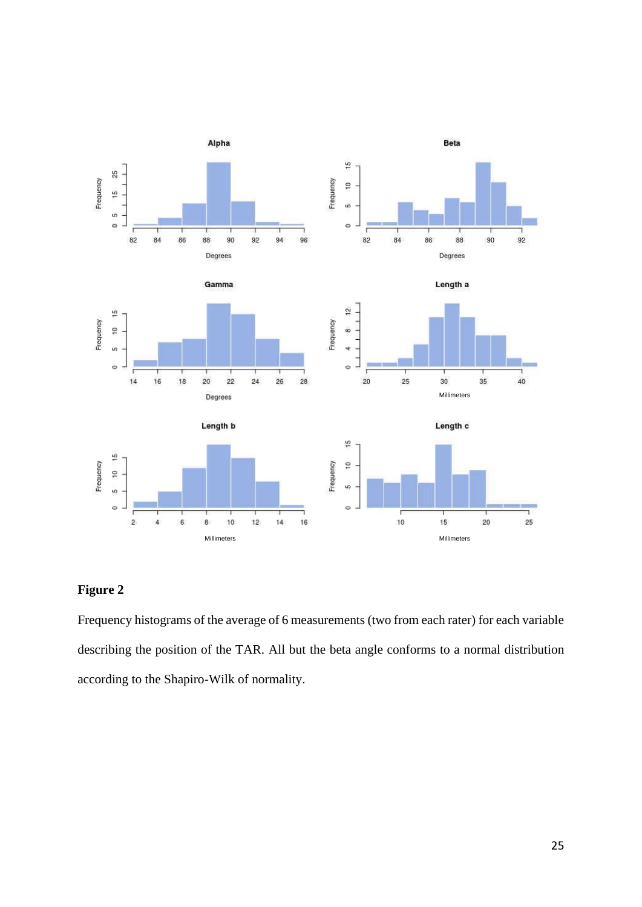

# **Figure 2**

Frequency histograms of the average of 6 measurements (two from each rater) for each variable describing the position of the TAR. All but the beta angle conforms to a normal distribution according to the Shapiro-Wilk of normality.